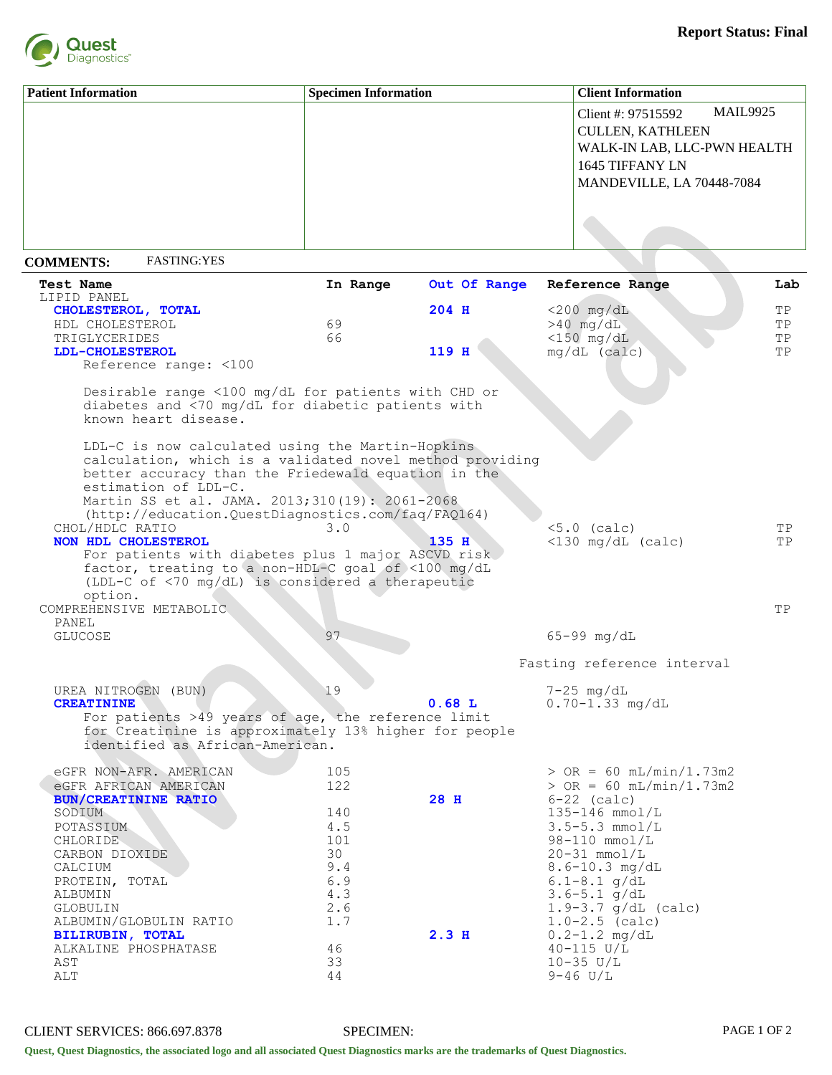

| <b>Patient Information</b> | <b>Specimen Information</b> | <b>Client Information</b>             |
|----------------------------|-----------------------------|---------------------------------------|
|                            |                             | <b>MAIL9925</b><br>Client #: 97515592 |
|                            |                             | <b>CULLEN, KATHLEEN</b>               |
|                            |                             | WALK-IN LAB, LLC-PWN HEALTH           |
|                            |                             | 1645 TIFFANY LN                       |
|                            |                             | MANDEVILLE, LA 70448-7084             |
|                            |                             |                                       |
|                            |                             |                                       |
|                            |                             |                                       |

## **COMMENTS:** FASTING:YES

| <b>Test Name</b><br>LIPID PANEL                                                                                                                                                                                                                                                                     | In Range   | Out Of Range     | Reference Range                     | Lab |
|-----------------------------------------------------------------------------------------------------------------------------------------------------------------------------------------------------------------------------------------------------------------------------------------------------|------------|------------------|-------------------------------------|-----|
| CHOLESTEROL, TOTAL                                                                                                                                                                                                                                                                                  |            | 204 H            | $<$ 200 mg/dL                       | ΤP  |
| HDL CHOLESTEROL                                                                                                                                                                                                                                                                                     | 69         |                  | $>40$ mg/dL                         | TP  |
| TRIGLYCERIDES                                                                                                                                                                                                                                                                                       | 66         |                  | $<$ 150 mg/dL                       | ΤP  |
| LDL-CHOLESTEROL                                                                                                                                                                                                                                                                                     |            | 119 H            | $mg/dL$ (calc)                      | ΤP  |
| Reference range: <100                                                                                                                                                                                                                                                                               |            |                  |                                     |     |
| Desirable range <100 mg/dL for patients with CHD or<br>diabetes and <70 mg/dL for diabetic patients with<br>known heart disease.                                                                                                                                                                    |            |                  |                                     |     |
| LDL-C is now calculated using the Martin-Hopkins<br>calculation, which is a validated novel method providing<br>better accuracy than the Friedewald equation in the<br>estimation of LDL-C.<br>Martin SS et al. JAMA. 2013;310(19): 2061-2068<br>(http://education.QuestDiagnostics.com/faq/FAQ164) |            |                  |                                     |     |
| CHOL/HDLC RATIO                                                                                                                                                                                                                                                                                     | 3.0        |                  | $< 5.0$ (calc)                      | TP  |
| NON HDL CHOLESTEROL<br>For patients with diabetes plus 1 major ASCVD risk<br>factor, treating to a non-HDL-C goal of <100 mg/dL<br>(LDL-C of <70 mg/dL) is considered a therapeutic<br>option.                                                                                                      |            | $135$ H          | $\langle 130 \text{ mg/dL} (calc)$  | TP  |
| COMPREHENSIVE METABOLIC                                                                                                                                                                                                                                                                             |            |                  |                                     | ΤP  |
| PANEL<br><b>GLUCOSE</b>                                                                                                                                                                                                                                                                             | 97         |                  | $65 - 99$ mg/dL                     |     |
|                                                                                                                                                                                                                                                                                                     |            |                  |                                     |     |
|                                                                                                                                                                                                                                                                                                     |            |                  | Fasting reference interval          |     |
| UREA NITROGEN (BUN)<br><b>CREATININE</b><br>For patients >49 years of age, the reference limit                                                                                                                                                                                                      | 19         | 0.68L            | $7-25$ mg/dL<br>$0.70 - 1.33 mg/dL$ |     |
| for Creatinine is approximately 13% higher for people<br>identified as African-American.                                                                                                                                                                                                            |            |                  |                                     |     |
| eGFR NON-AFR. AMERICAN                                                                                                                                                                                                                                                                              | 105        |                  | $>$ OR = 60 mL/min/1.73m2           |     |
| eGFR AFRICAN AMERICAN                                                                                                                                                                                                                                                                               | 122        |                  | $>$ OR = 60 mL/min/1.73m2           |     |
| <b>BUN/CREATININE RATIO</b>                                                                                                                                                                                                                                                                         |            | 28 H             | $6-22$ (calc)                       |     |
| SODIUM                                                                                                                                                                                                                                                                                              | 140        |                  | $135 - 146$ mmol/L                  |     |
| POTASSIUM                                                                                                                                                                                                                                                                                           | 4.5        |                  | $3.5 - 5.3$ mmol/L                  |     |
| CHLORIDE                                                                                                                                                                                                                                                                                            | 101        |                  | $98-110$ mmol/L                     |     |
| CARBON DIOXIDE                                                                                                                                                                                                                                                                                      | 30         |                  | $20-31$ mmol/L                      |     |
| CALCIUM                                                                                                                                                                                                                                                                                             | 9.4<br>6.9 |                  | 8.6-10.3 mg/dL<br>$6.1 - 8.1$ g/dL  |     |
| PROTEIN, TOTAL<br>ALBUMIN                                                                                                                                                                                                                                                                           | 4.3        |                  | $3.6 - 5.1$ g/dL                    |     |
| GLOBULIN                                                                                                                                                                                                                                                                                            | $2.6$      |                  | $1.9 - 3.7$ g/dL (calc)             |     |
| ALBUMIN/GLOBULIN RATIO                                                                                                                                                                                                                                                                              | 1.7        |                  | $1.0 - 2.5$ (calc)                  |     |
| <b>BILIRUBIN, TOTAL</b>                                                                                                                                                                                                                                                                             |            | 2.3 <sub>H</sub> | $0.2 - 1.2$ mg/dL                   |     |
| ALKALINE PHOSPHATASE                                                                                                                                                                                                                                                                                | 46         |                  | $40 - 115$ U/L                      |     |
| AST                                                                                                                                                                                                                                                                                                 | 33         |                  | $10 - 35$ $U/L$                     |     |
| ALT                                                                                                                                                                                                                                                                                                 | 44         |                  | $9 - 46$ U/L                        |     |
|                                                                                                                                                                                                                                                                                                     |            |                  |                                     |     |